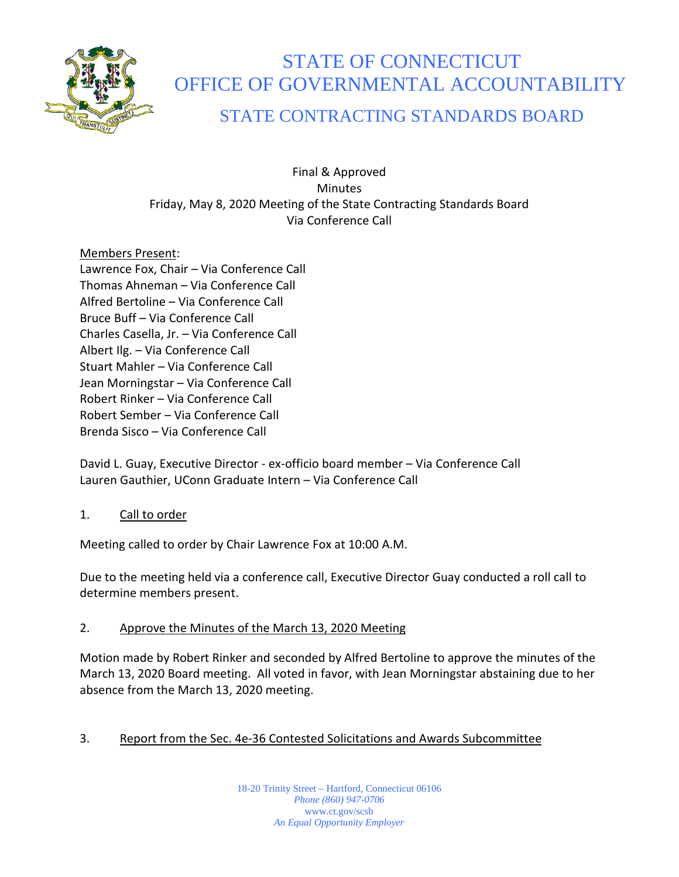

# STATE OF CONNECTICUT OFFICE OF GOVERNMENTAL ACCOUNTABILITY

## STATE CONTRACTING STANDARDS BOARD

## Final & Approved **Minutes** Friday, May 8, 2020 Meeting of the State Contracting Standards Board Via Conference Call

## Members Present:

Lawrence Fox, Chair – Via Conference Call Thomas Ahneman – Via Conference Call Alfred Bertoline – Via Conference Call Bruce Buff – Via Conference Call Charles Casella, Jr. – Via Conference Call Albert Ilg. – Via Conference Call Stuart Mahler – Via Conference Call Jean Morningstar – Via Conference Call Robert Rinker – Via Conference Call Robert Sember – Via Conference Call Brenda Sisco – Via Conference Call

David L. Guay, Executive Director - ex-officio board member – Via Conference Call Lauren Gauthier, UConn Graduate Intern – Via Conference Call

## 1. Call to order

Meeting called to order by Chair Lawrence Fox at 10:00 A.M.

Due to the meeting held via a conference call, Executive Director Guay conducted a roll call to determine members present.

## 2. Approve the Minutes of the March 13, 2020 Meeting

Motion made by Robert Rinker and seconded by Alfred Bertoline to approve the minutes of the March 13, 2020 Board meeting. All voted in favor, with Jean Morningstar abstaining due to her absence from the March 13, 2020 meeting.

## 3. Report from the Sec. 4e-36 Contested Solicitations and Awards Subcommittee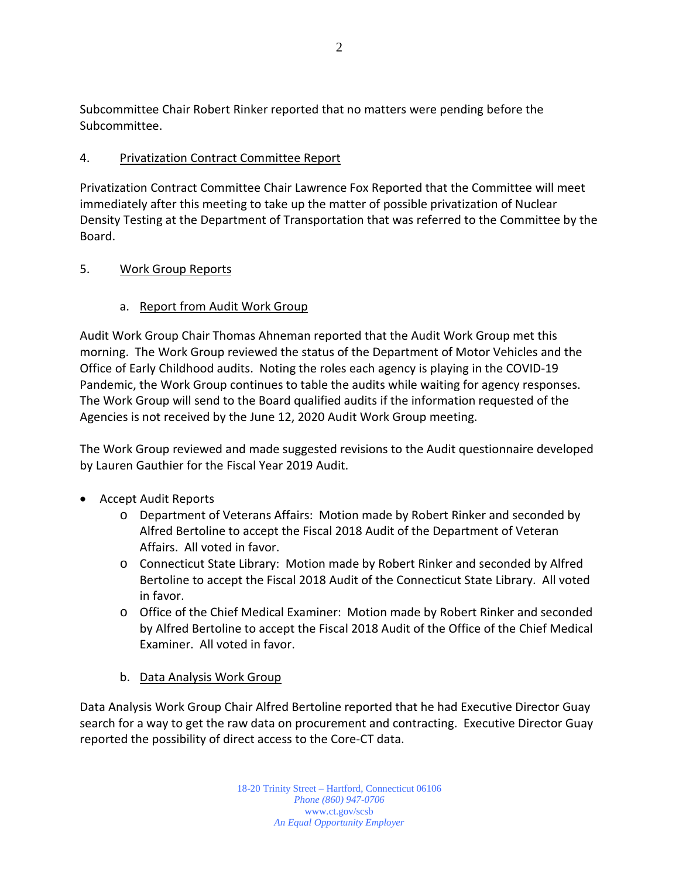Subcommittee Chair Robert Rinker reported that no matters were pending before the Subcommittee.

## 4. Privatization Contract Committee Report

Privatization Contract Committee Chair Lawrence Fox Reported that the Committee will meet immediately after this meeting to take up the matter of possible privatization of Nuclear Density Testing at the Department of Transportation that was referred to the Committee by the Board.

## 5. Work Group Reports

## a. Report from Audit Work Group

Audit Work Group Chair Thomas Ahneman reported that the Audit Work Group met this morning. The Work Group reviewed the status of the Department of Motor Vehicles and the Office of Early Childhood audits. Noting the roles each agency is playing in the COVID-19 Pandemic, the Work Group continues to table the audits while waiting for agency responses. The Work Group will send to the Board qualified audits if the information requested of the Agencies is not received by the June 12, 2020 Audit Work Group meeting.

The Work Group reviewed and made suggested revisions to the Audit questionnaire developed by Lauren Gauthier for the Fiscal Year 2019 Audit.

- Accept Audit Reports
	- o Department of Veterans Affairs: Motion made by Robert Rinker and seconded by Alfred Bertoline to accept the Fiscal 2018 Audit of the Department of Veteran Affairs. All voted in favor.
	- o Connecticut State Library: Motion made by Robert Rinker and seconded by Alfred Bertoline to accept the Fiscal 2018 Audit of the Connecticut State Library. All voted in favor.
	- o Office of the Chief Medical Examiner: Motion made by Robert Rinker and seconded by Alfred Bertoline to accept the Fiscal 2018 Audit of the Office of the Chief Medical Examiner. All voted in favor.
	- b. Data Analysis Work Group

Data Analysis Work Group Chair Alfred Bertoline reported that he had Executive Director Guay search for a way to get the raw data on procurement and contracting. Executive Director Guay reported the possibility of direct access to the Core-CT data.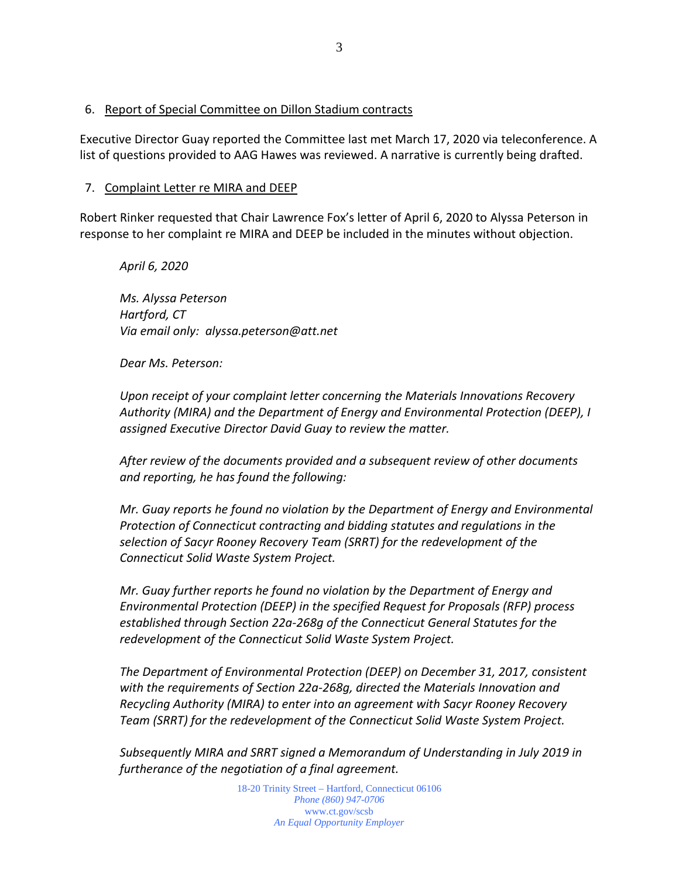Executive Director Guay reported the Committee last met March 17, 2020 via teleconference. A list of questions provided to AAG Hawes was reviewed. A narrative is currently being drafted.

#### 7. Complaint Letter re MIRA and DEEP

Robert Rinker requested that Chair Lawrence Fox's letter of April 6, 2020 to Alyssa Peterson in response to her complaint re MIRA and DEEP be included in the minutes without objection.

*Ms. Alyssa Peterson Hartford, CT Via email only: alyssa.peterson@att.net*

*Dear Ms. Peterson:*

*April 6, 2020*

*Upon receipt of your complaint letter concerning the Materials Innovations Recovery Authority (MIRA) and the Department of Energy and Environmental Protection (DEEP), I assigned Executive Director David Guay to review the matter.*

*After review of the documents provided and a subsequent review of other documents and reporting, he has found the following:*

*Mr. Guay reports he found no violation by the Department of Energy and Environmental Protection of Connecticut contracting and bidding statutes and regulations in the selection of Sacyr Rooney Recovery Team (SRRT) for the redevelopment of the Connecticut Solid Waste System Project.* 

*Mr. Guay further reports he found no violation by the Department of Energy and Environmental Protection (DEEP) in the specified Request for Proposals (RFP) process established through Section 22a-268g of the Connecticut General Statutes for the redevelopment of the Connecticut Solid Waste System Project.*

*The Department of Environmental Protection (DEEP) on December 31, 2017, consistent with the requirements of Section 22a-268g, directed the Materials Innovation and Recycling Authority (MIRA) to enter into an agreement with Sacyr Rooney Recovery Team (SRRT) for the redevelopment of the Connecticut Solid Waste System Project.* 

*Subsequently MIRA and SRRT signed a Memorandum of Understanding in July 2019 in furtherance of the negotiation of a final agreement.*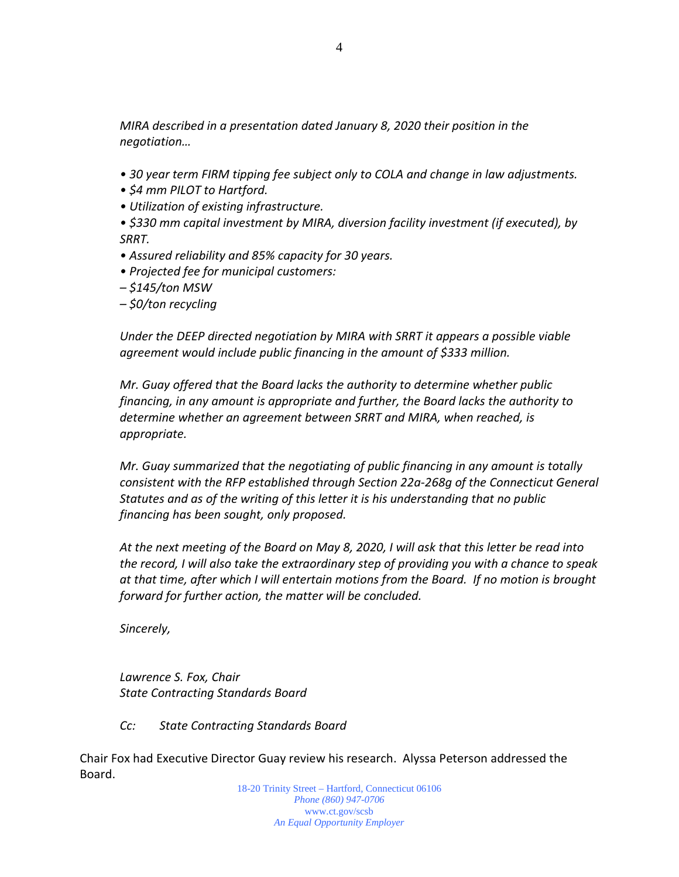*MIRA described in a presentation dated January 8, 2020 their position in the negotiation…*

- *30 year term FIRM tipping fee subject only to COLA and change in law adjustments.*
- *\$4 mm PILOT to Hartford.*
- *Utilization of existing infrastructure.*
- *\$330 mm capital investment by MIRA, diversion facility investment (if executed), by SRRT.*
- *Assured reliability and 85% capacity for 30 years.*
- *Projected fee for municipal customers:*
- *– \$145/ton MSW*
- *– \$0/ton recycling*

*Under the DEEP directed negotiation by MIRA with SRRT it appears a possible viable agreement would include public financing in the amount of \$333 million.*

*Mr. Guay offered that the Board lacks the authority to determine whether public financing, in any amount is appropriate and further, the Board lacks the authority to determine whether an agreement between SRRT and MIRA, when reached, is appropriate.*

*Mr. Guay summarized that the negotiating of public financing in any amount is totally consistent with the RFP established through Section 22a-268g of the Connecticut General Statutes and as of the writing of this letter it is his understanding that no public financing has been sought, only proposed.*

*At the next meeting of the Board on May 8, 2020, I will ask that this letter be read into the record, I will also take the extraordinary step of providing you with a chance to speak at that time, after which I will entertain motions from the Board. If no motion is brought forward for further action, the matter will be concluded.*

*Sincerely,* 

*Lawrence S. Fox, Chair State Contracting Standards Board*

*Cc: State Contracting Standards Board*

Chair Fox had Executive Director Guay review his research. Alyssa Peterson addressed the Board.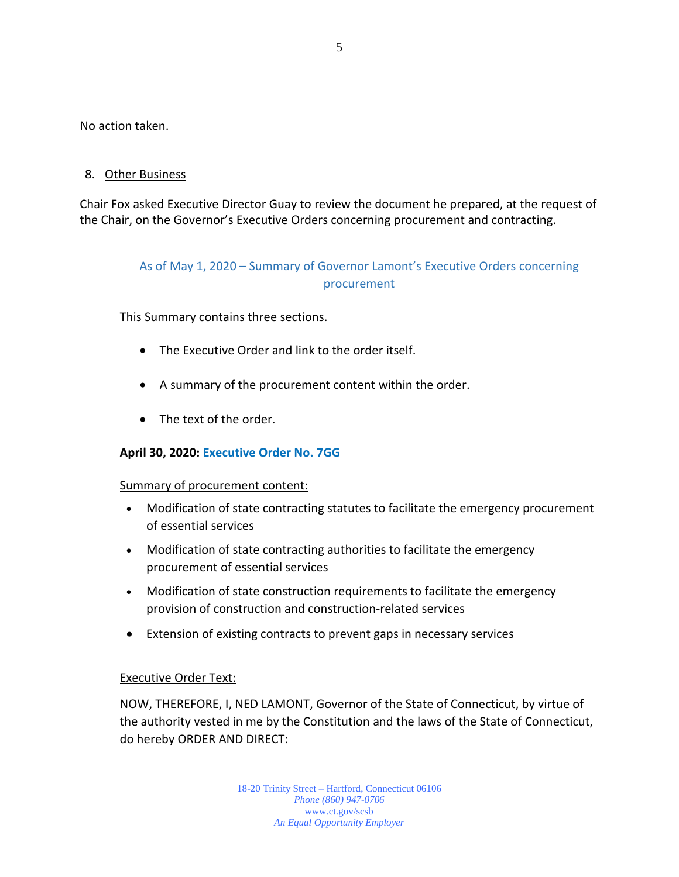No action taken.

## 8. Other Business

Chair Fox asked Executive Director Guay to review the document he prepared, at the request of the Chair, on the Governor's Executive Orders concerning procurement and contracting.

## As of May 1, 2020 – Summary of Governor Lamont's Executive Orders concerning procurement

This Summary contains three sections.

- The Executive Order and link to the order itself.
- A summary of the procurement content within the order.
- The text of the order.

## **April 30, 2020: [Executive Order No. 7GG](https://portal.ct.gov/-/media/Office-of-the-Governor/Executive-Orders/Lamont-Executive-Orders/Executive-Order-No-7GG.pdf?la=en)**

#### Summary of procurement content:

- Modification of state contracting statutes to facilitate the emergency procurement of essential services
- Modification of state contracting authorities to facilitate the emergency procurement of essential services
- Modification of state construction requirements to facilitate the emergency provision of construction and construction-related services
- Extension of existing contracts to prevent gaps in necessary services

## Executive Order Text:

NOW, THEREFORE, I, NED LAMONT, Governor of the State of Connecticut, by virtue of the authority vested in me by the Constitution and the laws of the State of Connecticut, do hereby ORDER AND DIRECT: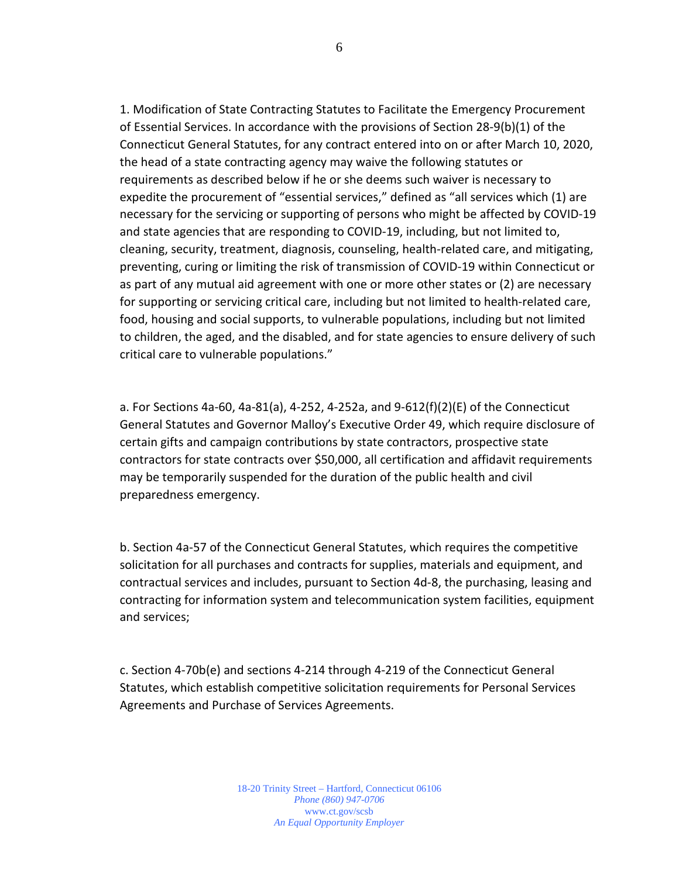1. Modification of State Contracting Statutes to Facilitate the Emergency Procurement of Essential Services. In accordance with the provisions of Section 28-9(b)(1) of the Connecticut General Statutes, for any contract entered into on or after March 10, 2020, the head of a state contracting agency may waive the following statutes or requirements as described below if he or she deems such waiver is necessary to expedite the procurement of "essential services," defined as "all services which (1) are necessary for the servicing or supporting of persons who might be affected by COVID-19 and state agencies that are responding to COVID-19, including, but not limited to, cleaning, security, treatment, diagnosis, counseling, health-related care, and mitigating, preventing, curing or limiting the risk of transmission of COVID-19 within Connecticut or as part of any mutual aid agreement with one or more other states or (2) are necessary for supporting or servicing critical care, including but not limited to health-related care, food, housing and social supports, to vulnerable populations, including but not limited to children, the aged, and the disabled, and for state agencies to ensure delivery of such critical care to vulnerable populations."

a. For Sections 4a-60, 4a-81(a), 4-252, 4-252a, and 9-612(f)(2)(E) of the Connecticut General Statutes and Governor Malloy's Executive Order 49, which require disclosure of certain gifts and campaign contributions by state contractors, prospective state contractors for state contracts over \$50,000, all certification and affidavit requirements may be temporarily suspended for the duration of the public health and civil preparedness emergency.

b. Section 4a-57 of the Connecticut General Statutes, which requires the competitive solicitation for all purchases and contracts for supplies, materials and equipment, and contractual services and includes, pursuant to Section 4d-8, the purchasing, leasing and contracting for information system and telecommunication system facilities, equipment and services;

c. Section 4-70b(e) and sections 4-214 through 4-219 of the Connecticut General Statutes, which establish competitive solicitation requirements for Personal Services Agreements and Purchase of Services Agreements.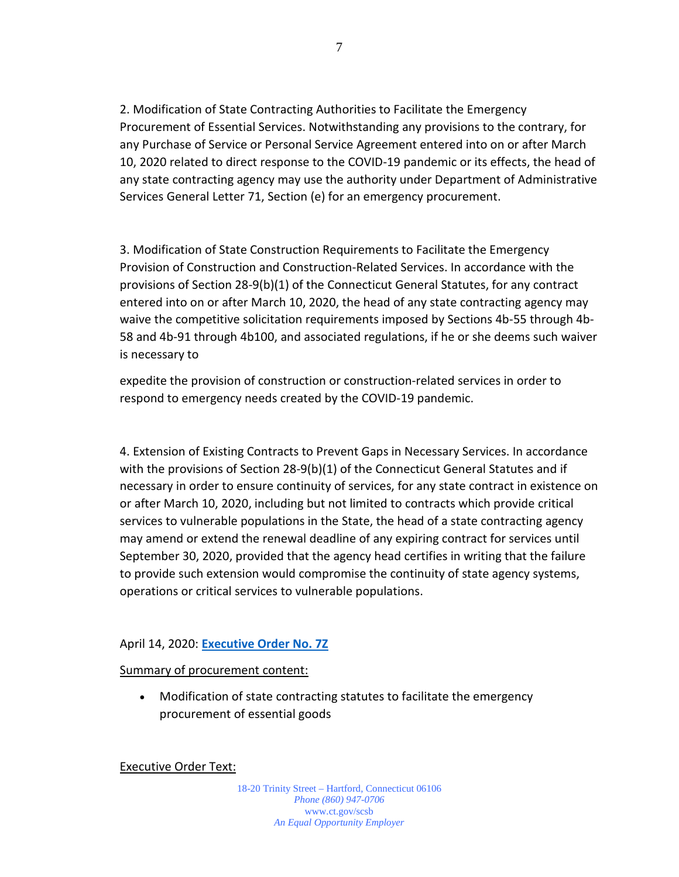2. Modification of State Contracting Authorities to Facilitate the Emergency Procurement of Essential Services. Notwithstanding any provisions to the contrary, for any Purchase of Service or Personal Service Agreement entered into on or after March 10, 2020 related to direct response to the COVID-19 pandemic or its effects, the head of any state contracting agency may use the authority under Department of Administrative Services General Letter 71, Section (e) for an emergency procurement.

3. Modification of State Construction Requirements to Facilitate the Emergency Provision of Construction and Construction-Related Services. In accordance with the provisions of Section 28-9(b)(1) of the Connecticut General Statutes, for any contract entered into on or after March 10, 2020, the head of any state contracting agency may waive the competitive solicitation requirements imposed by Sections 4b-55 through 4b-58 and 4b-91 through 4b100, and associated regulations, if he or she deems such waiver is necessary to

expedite the provision of construction or construction-related services in order to respond to emergency needs created by the COVID-19 pandemic.

4. Extension of Existing Contracts to Prevent Gaps in Necessary Services. In accordance with the provisions of Section 28-9(b)(1) of the Connecticut General Statutes and if necessary in order to ensure continuity of services, for any state contract in existence on or after March 10, 2020, including but not limited to contracts which provide critical services to vulnerable populations in the State, the head of a state contracting agency may amend or extend the renewal deadline of any expiring contract for services until September 30, 2020, provided that the agency head certifies in writing that the failure to provide such extension would compromise the continuity of state agency systems, operations or critical services to vulnerable populations.

#### April 14, 2020: **[Executive Order No. 7Z](https://portal.ct.gov/-/media/Office-of-the-Governor/Executive-Orders/Lamont-Executive-Orders/Executive-Order-No-7Z.pdf?la=en)**

#### Summary of procurement content:

• Modification of state contracting statutes to facilitate the emergency procurement of essential goods

Executive Order Text: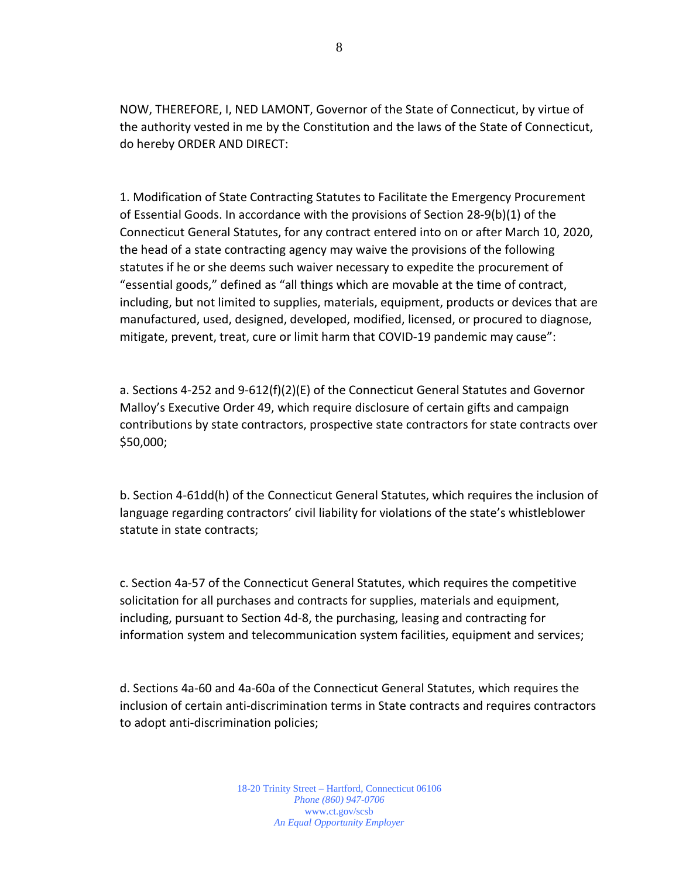NOW, THEREFORE, I, NED LAMONT, Governor of the State of Connecticut, by virtue of the authority vested in me by the Constitution and the laws of the State of Connecticut, do hereby ORDER AND DIRECT:

1. Modification of State Contracting Statutes to Facilitate the Emergency Procurement of Essential Goods. In accordance with the provisions of Section 28-9(b)(1) of the Connecticut General Statutes, for any contract entered into on or after March 10, 2020, the head of a state contracting agency may waive the provisions of the following statutes if he or she deems such waiver necessary to expedite the procurement of "essential goods," defined as "all things which are movable at the time of contract, including, but not limited to supplies, materials, equipment, products or devices that are manufactured, used, designed, developed, modified, licensed, or procured to diagnose, mitigate, prevent, treat, cure or limit harm that COVID-19 pandemic may cause":

a. Sections 4-252 and 9-612(f)(2)(E) of the Connecticut General Statutes and Governor Malloy's Executive Order 49, which require disclosure of certain gifts and campaign contributions by state contractors, prospective state contractors for state contracts over \$50,000;

b. Section 4-61dd(h) of the Connecticut General Statutes, which requires the inclusion of language regarding contractors' civil liability for violations of the state's whistleblower statute in state contracts;

c. Section 4a-57 of the Connecticut General Statutes, which requires the competitive solicitation for all purchases and contracts for supplies, materials and equipment, including, pursuant to Section 4d-8, the purchasing, leasing and contracting for information system and telecommunication system facilities, equipment and services;

d. Sections 4a-60 and 4a-60a of the Connecticut General Statutes, which requires the inclusion of certain anti-discrimination terms in State contracts and requires contractors to adopt anti-discrimination policies;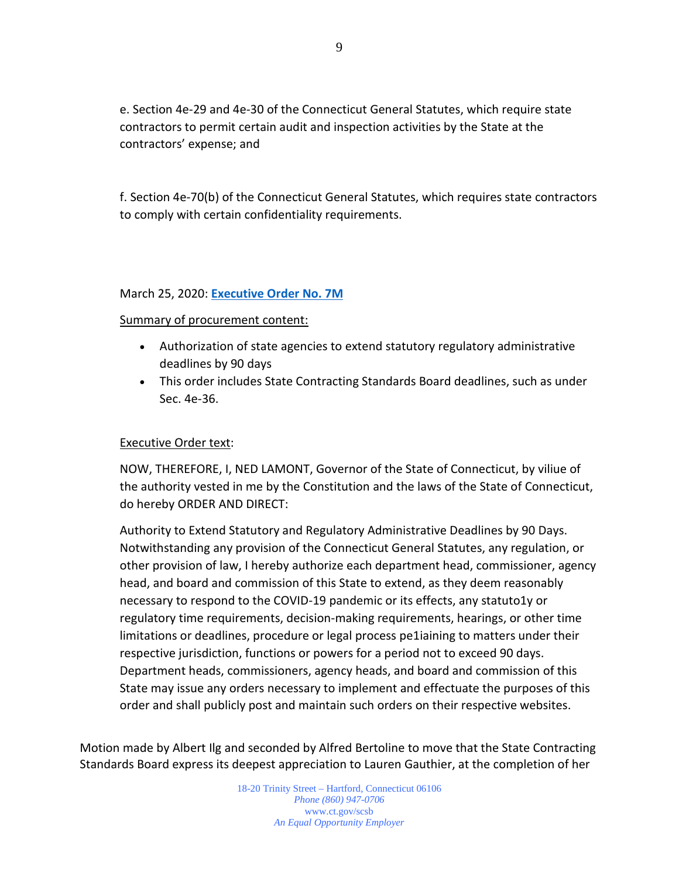e. Section 4e-29 and 4e-30 of the Connecticut General Statutes, which require state contractors to permit certain audit and inspection activities by the State at the contractors' expense; and

f. Section 4e-70(b) of the Connecticut General Statutes, which requires state contractors to comply with certain confidentiality requirements.

#### March 25, 2020: **[Executive Order No. 7M](https://portal.ct.gov/-/media/Office-of-the-Governor/Executive-Orders/Lamont-Executive-Orders/Executive-Order-No-7M.pdf?la=en)**

### Summary of procurement content:

- Authorization of state agencies to extend statutory regulatory administrative deadlines by 90 days
- This order includes State Contracting Standards Board deadlines, such as under Sec. 4e-36.

## Executive Order text:

NOW, THEREFORE, I, NED LAMONT, Governor of the State of Connecticut, by viliue of the authority vested in me by the Constitution and the laws of the State of Connecticut, do hereby ORDER AND DIRECT:

Authority to Extend Statutory and Regulatory Administrative Deadlines by 90 Days. Notwithstanding any provision of the Connecticut General Statutes, any regulation, or other provision of law, I hereby authorize each department head, commissioner, agency head, and board and commission of this State to extend, as they deem reasonably necessary to respond to the COVID-19 pandemic or its effects, any statuto1y or regulatory time requirements, decision-making requirements, hearings, or other time limitations or deadlines, procedure or legal process pe1iaining to matters under their respective jurisdiction, functions or powers for a period not to exceed 90 days. Department heads, commissioners, agency heads, and board and commission of this State may issue any orders necessary to implement and effectuate the purposes of this order and shall publicly post and maintain such orders on their respective websites.

Motion made by Albert Ilg and seconded by Alfred Bertoline to move that the State Contracting Standards Board express its deepest appreciation to Lauren Gauthier, at the completion of her